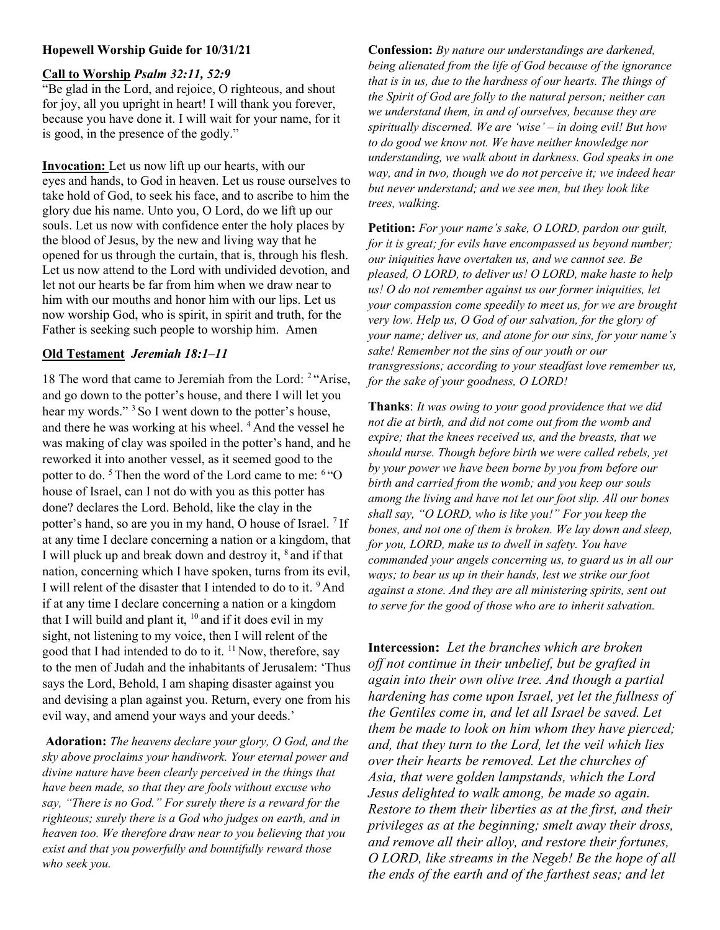# Hopewell Worship Guide for 10/31/21

#### Call to Worship Psalm 32:11, 52:9

"Be glad in the Lord, and rejoice, O righteous, and shout for joy, all you upright in heart! I will thank you forever, because you have done it. I will wait for your name, for it is good, in the presence of the godly."

Invocation: Let us now lift up our hearts, with our eyes and hands, to God in heaven. Let us rouse ourselves to take hold of God, to seek his face, and to ascribe to him the glory due his name. Unto you, O Lord, do we lift up our souls. Let us now with confidence enter the holy places by the blood of Jesus, by the new and living way that he opened for us through the curtain, that is, through his flesh. Let us now attend to the Lord with undivided devotion, and let not our hearts be far from him when we draw near to him with our mouths and honor him with our lips. Let us now worship God, who is spirit, in spirit and truth, for the Father is seeking such people to worship him. Amen

#### Old Testament Jeremiah 18:1–11

18 The word that came to Jeremiah from the Lord: <sup>2</sup> "Arise, and go down to the potter's house, and there I will let you hear my words."<sup>3</sup> So I went down to the potter's house, and there he was working at his wheel. <sup>4</sup>And the vessel he was making of clay was spoiled in the potter's hand, and he reworked it into another vessel, as it seemed good to the potter to do.<sup>5</sup> Then the word of the Lord came to me: <sup>6</sup> "O house of Israel, can I not do with you as this potter has done? declares the Lord. Behold, like the clay in the potter's hand, so are you in my hand, O house of Israel. <sup>7</sup>If at any time I declare concerning a nation or a kingdom, that I will pluck up and break down and destroy it, <sup>8</sup> and if that nation, concerning which I have spoken, turns from its evil, I will relent of the disaster that I intended to do to it. <sup>9</sup> And if at any time I declare concerning a nation or a kingdom that I will build and plant it,  $10$  and if it does evil in my sight, not listening to my voice, then I will relent of the good that I had intended to do to it.  $11$  Now, therefore, say to the men of Judah and the inhabitants of Jerusalem: 'Thus says the Lord, Behold, I am shaping disaster against you and devising a plan against you. Return, every one from his evil way, and amend your ways and your deeds.'

Adoration: The heavens declare your glory, O God, and the sky above proclaims your handiwork. Your eternal power and divine nature have been clearly perceived in the things that have been made, so that they are fools without excuse who say, "There is no God." For surely there is a reward for the righteous; surely there is a God who judges on earth, and in heaven too. We therefore draw near to you believing that you exist and that you powerfully and bountifully reward those who seek you.

Confession: By nature our understandings are darkened, being alienated from the life of God because of the ignorance that is in us, due to the hardness of our hearts. The things of the Spirit of God are folly to the natural person; neither can we understand them, in and of ourselves, because they are spiritually discerned. We are 'wise' – in doing evil! But how to do good we know not. We have neither knowledge nor understanding, we walk about in darkness. God speaks in one way, and in two, though we do not perceive it; we indeed hear but never understand; and we see men, but they look like trees, walking.

Petition: For your name's sake, O LORD, pardon our guilt, for it is great; for evils have encompassed us beyond number; our iniquities have overtaken us, and we cannot see. Be pleased, O LORD, to deliver us! O LORD, make haste to help us! O do not remember against us our former iniquities, let your compassion come speedily to meet us, for we are brought very low. Help us, O God of our salvation, for the glory of your name; deliver us, and atone for our sins, for your name's sake! Remember not the sins of our youth or our transgressions; according to your steadfast love remember us, for the sake of your goodness, O LORD!

Thanks: It was owing to your good providence that we did not die at birth, and did not come out from the womb and expire; that the knees received us, and the breasts, that we should nurse. Though before birth we were called rebels, yet by your power we have been borne by you from before our birth and carried from the womb; and you keep our souls among the living and have not let our foot slip. All our bones shall say, "O LORD, who is like you!" For you keep the bones, and not one of them is broken. We lay down and sleep, for you, LORD, make us to dwell in safety. You have commanded your angels concerning us, to guard us in all our ways; to bear us up in their hands, lest we strike our foot against a stone. And they are all ministering spirits, sent out to serve for the good of those who are to inherit salvation.

Intercession: Let the branches which are broken off not continue in their unbelief, but be grafted in again into their own olive tree. And though a partial hardening has come upon Israel, yet let the fullness of the Gentiles come in, and let all Israel be saved. Let them be made to look on him whom they have pierced; and, that they turn to the Lord, let the veil which lies over their hearts be removed. Let the churches of Asia, that were golden lampstands, which the Lord Jesus delighted to walk among, be made so again. Restore to them their liberties as at the first, and their privileges as at the beginning; smelt away their dross, and remove all their alloy, and restore their fortunes, O LORD, like streams in the Negeb! Be the hope of all the ends of the earth and of the farthest seas; and let